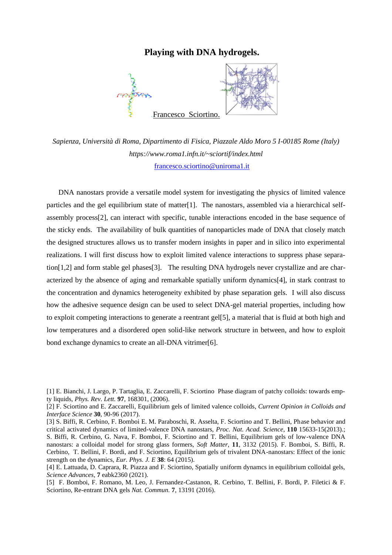## **Playing with DNA hydrogels.**



*Sapienza, Università di Roma, Dipartimento di Fisica, Piazzale Aldo Moro 5 I-00185 Rome (Italy) https://www.roma1.infn.it/~sciortif/index.html* [francesco.sciortino@uniroma1.it](mailto:francesco.sciortino@uniroma1.it) 

DNA nanostars provide a versatile model system for investigating the physics of limited valence particles and the gel equilibrium state of matter[1]. The nanostars, assembled via a hierarchical selfassembly process[2], can interact with specific, tunable interactions encoded in the base sequence of the sticky ends. The availability of bulk quantities of nanoparticles made of DNA that closely match the designed structures allows us to transfer modern insights in paper and in silico into experimental realizations. I will first discuss how to exploit limited valence interactions to suppress phase separation[1,2] and form stable gel phases[3]. The resulting DNA hydrogels never crystallize and are characterized by the absence of aging and remarkable spatially uniform dynamics[4], in stark contrast to the concentration and dynamics heterogeneity exhibited by phase separation gels. I will also discuss how the adhesive sequence design can be used to select DNA-gel material properties, including how to exploit competing interactions to generate a reentrant gel[5], a material that is fluid at both high and low temperatures and a disordered open solid-like network structure in between, and how to exploit bond exchange dynamics to create an all-DNA vitrimer[6].

<sup>[1]</sup> E. Bianchi, J. Largo, P. Tartaglia, E. Zaccarelli, F. Sciortino Phase diagram of patchy colloids: towards empty liquids, *Phys. Rev. Lett.* **97**, 168301, (2006).

<sup>[2]</sup> F. Sciortino and E. Zaccarelli, Equilibrium gels of limited valence colloids, *Current Opinion in Colloids and Interface Science* **30**, 90-96 (2017).

<sup>[3]</sup> S. Biffi, R. Cerbino, F. Bomboi E. M. Paraboschi, R. Asselta, F. Sciortino and T. Bellini, Phase behavior and critical activated dynamics of limited-valence DNA nanostars, *Proc. Nat. Acad. Science*, **110** 15633-15(2013).; S. Biffi, R. Cerbino, G. Nava, F. Bomboi, F. Sciortino and T. Bellini, Equilibrium gels of low-valence DNA nanostars: a colloidal model for strong glass formers, *Soft Matter*, **11**, 3132 (2015). F. Bomboi, S. Biffi, R. Cerbino, T. Bellini, F. Bordi, and F. Sciortino, Equilibrium gels of trivalent DNA-nanostars: Effect of the ionic strength on the dynamics, *Eur. Phys. J. E* **38**: 64 (2015).

<sup>[4]</sup> E. Lattuada, D. Caprara, R. Piazza and F. Sciortino, Spatially uniform dynamcs in equilibrium colloidal gels, *Science Advances*, **7** eabk2360 (2021).

<sup>[5]</sup> F. Bomboi, F. Romano, M. Leo, J. Fernandez-Castanon, R. Cerbino, T. Bellini, F. Bordi, P. Filetici & F. Sciortino, Re-entrant DNA gels *Nat. Commun.* **7**, 13191 (2016).